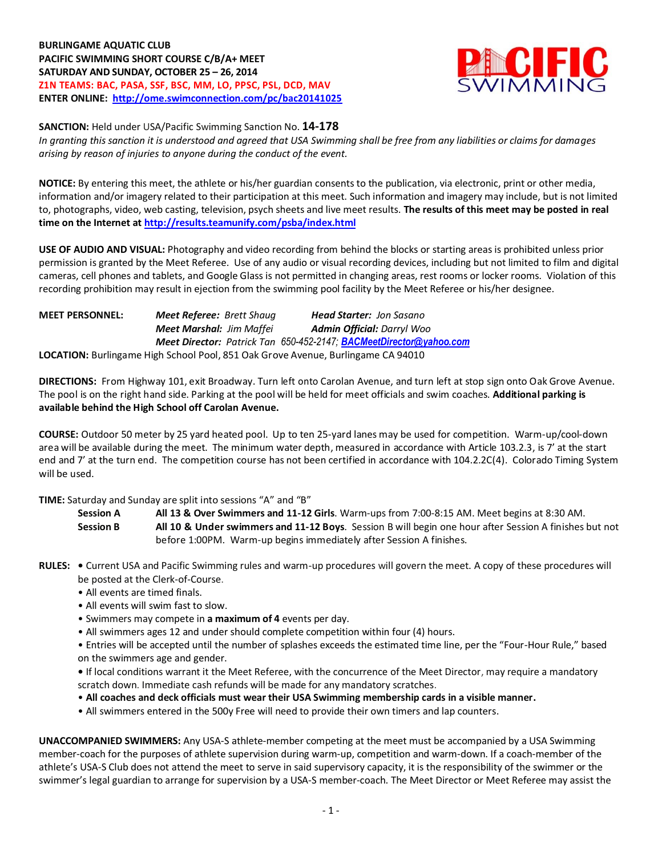**BURLINGAME AQUATIC CLUB PACIFIC SWIMMING SHORT COURSE C/B/A+ MEET SATURDAY AND SUNDAY, OCTOBER 25 – 26, 2014 Z1N TEAMS: BAC, PASA, SSF, BSC, MM, LO, PPSC, PSL, DCD, MAV ENTER ONLINE: <http://ome.swimconnection.com/pc/bac20141025>**



**SANCTION:** Held under USA/Pacific Swimming Sanction No. **14-178**

*In granting this sanction it is understood and agreed that USA Swimming shall be free from any liabilities or claims for damages arising by reason of injuries to anyone during the conduct of the event.*

**NOTICE:** By entering this meet, the athlete or his/her guardian consents to the publication, via electronic, print or other media, information and/or imagery related to their participation at this meet. Such information and imagery may include, but is not limited to, photographs, video, web casting, television, psych sheets and live meet results. **The results of this meet may be posted in real time on the Internet a[t http://results.teamunify.com/psba/index.html](http://results.teamunify.com/psba/index.html)**

**USE OF AUDIO AND VISUAL:** Photography and video recording from behind the blocks or starting areas is prohibited unless prior permission is granted by the Meet Referee. Use of any audio or visual recording devices, including but not limited to film and digital cameras, cell phones and tablets, and Google Glass is not permitted in changing areas, rest rooms or locker rooms. Violation of this recording prohibition may result in ejection from the swimming pool facility by the Meet Referee or his/her designee.

| <b>MEET PERSONNEL:</b> | <b>Meet Referee: Brett Shaug</b> | <b>Head Starter: Jon Sasano</b>                                                  |
|------------------------|----------------------------------|----------------------------------------------------------------------------------|
|                        | <b>Meet Marshal: Jim Maffei</b>  | <b>Admin Official: Darryl Woo</b>                                                |
|                        |                                  | <b>Meet Director:</b> Patrick Tan 650-452-2147; <b>BACMeetDirector@yahoo.com</b> |
|                        |                                  | LOCATION: Burlingame High School Pool, 851 Oak Grove Avenue, Burlingame CA 94010 |

**DIRECTIONS:** From Highway 101, exit Broadway. Turn left onto Carolan Avenue, and turn left at stop sign onto Oak Grove Avenue. The pool is on the right hand side. Parking at the pool will be held for meet officials and swim coaches. **Additional parking is available behind the High School off Carolan Avenue.**

**COURSE:** Outdoor 50 meter by 25 yard heated pool. Up to ten 25-yard lanes may be used for competition. Warm-up/cool-down area will be available during the meet. The minimum water depth, measured in accordance with Article 103.2.3, is 7' at the start end and 7' at the turn end. The competition course has not been certified in accordance with 104.2.2C(4). Colorado Timing System will be used.

**TIME:** Saturday and Sunday are split into sessions "A" and "B"

**Session A All 13 & Over Swimmers and 11-12 Girls**. Warm-ups from 7:00-8:15 AM. Meet begins at 8:30 AM.

**Session B All 10 & Under swimmers and 11-12 Boys**. Session B will begin one hour after Session A finishes but not before 1:00PM. Warm-up begins immediately after Session A finishes.

- **RULES:** Current USA and Pacific Swimming rules and warm-up procedures will govern the meet. A copy of these procedures will be posted at the Clerk-of-Course.
	- All events are timed finals.
	- All events will swim fast to slow.
	- Swimmers may compete in **a maximum of 4** events per day.
	- All swimmers ages 12 and under should complete competition within four (4) hours.

• Entries will be accepted until the number of splashes exceeds the estimated time line, per the "Four-Hour Rule," based on the swimmers age and gender.

**•** If local conditions warrant it the Meet Referee, with the concurrence of the Meet Director, may require a mandatory scratch down. Immediate cash refunds will be made for any mandatory scratches.

- **All coaches and deck officials must wear their USA Swimming membership cards in a visible manner.**
- All swimmers entered in the 500y Free will need to provide their own timers and lap counters.

**UNACCOMPANIED SWIMMERS:** Any USA-S athlete-member competing at the meet must be accompanied by a USA Swimming member-coach for the purposes of athlete supervision during warm-up, competition and warm-down. If a coach-member of the athlete's USA-S Club does not attend the meet to serve in said supervisory capacity, it is the responsibility of the swimmer or the swimmer's legal guardian to arrange for supervision by a USA-S member-coach. The Meet Director or Meet Referee may assist the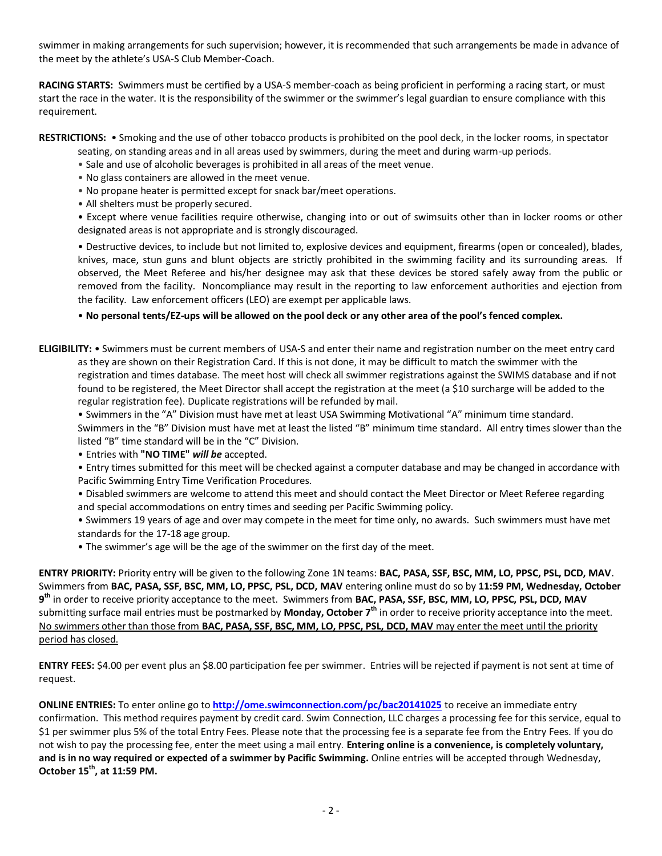swimmer in making arrangements for such supervision; however, it is recommended that such arrangements be made in advance of the meet by the athlete's USA-S Club Member-Coach.

**RACING STARTS:** Swimmers must be certified by a USA-S member-coach as being proficient in performing a racing start, or must start the race in the water. It is the responsibility of the swimmer or the swimmer's legal guardian to ensure compliance with this requirement.

**RESTRICTIONS:** • Smoking and the use of other tobacco products is prohibited on the pool deck, in the locker rooms, in spectator

seating, on standing areas and in all areas used by swimmers, during the meet and during warm-up periods.

- Sale and use of alcoholic beverages is prohibited in all areas of the meet venue.
- No glass containers are allowed in the meet venue.
- No propane heater is permitted except for snack bar/meet operations.
- All shelters must be properly secured.

• Except where venue facilities require otherwise, changing into or out of swimsuits other than in locker rooms or other designated areas is not appropriate and is strongly discouraged.

• Destructive devices, to include but not limited to, explosive devices and equipment, firearms (open or concealed), blades, knives, mace, stun guns and blunt objects are strictly prohibited in the swimming facility and its surrounding areas. If observed, the Meet Referee and his/her designee may ask that these devices be stored safely away from the public or removed from the facility. Noncompliance may result in the reporting to law enforcement authorities and ejection from the facility. Law enforcement officers (LEO) are exempt per applicable laws.

• **No personal tents/EZ-ups will be allowed on the pool deck or any other area of the pool's fenced complex.**

**ELIGIBILITY:** • Swimmers must be current members of USA-S and enter their name and registration number on the meet entry card as they are shown on their Registration Card. If this is not done, it may be difficult to match the swimmer with the registration and times database. The meet host will check all swimmer registrations against the SWIMS database and if not found to be registered, the Meet Director shall accept the registration at the meet (a \$10 surcharge will be added to the regular registration fee). Duplicate registrations will be refunded by mail.

• Swimmers in the "A" Division must have met at least USA Swimming Motivational "A" minimum time standard. Swimmers in the "B" Division must have met at least the listed "B" minimum time standard. All entry times slower than the listed "B" time standard will be in the "C" Division.

• Entries with **"NO TIME"** *will be* accepted.

• Entry times submitted for this meet will be checked against a computer database and may be changed in accordance with Pacific Swimming Entry Time Verification Procedures.

• Disabled swimmers are welcome to attend this meet and should contact the Meet Director or Meet Referee regarding and special accommodations on entry times and seeding per Pacific Swimming policy.

• Swimmers 19 years of age and over may compete in the meet for time only, no awards. Such swimmers must have met standards for the 17-18 age group.

• The swimmer's age will be the age of the swimmer on the first day of the meet.

**ENTRY PRIORITY:** Priority entry will be given to the following Zone 1N teams: **BAC, PASA, SSF, BSC, MM, LO, PPSC, PSL, DCD, MAV**. Swimmers from **BAC, PASA, SSF, BSC, MM, LO, PPSC, PSL, DCD, MAV** entering online must do so by **11:59 PM, Wednesday, October 9 th** in order to receive priority acceptance to the meet. Swimmers from **BAC, PASA, SSF, BSC, MM, LO, PPSC, PSL, DCD, MAV** submitting surface mail entries must be postmarked by **Monday, October 7th** in order to receive priority acceptance into the meet. No swimmers other than those from **BAC, PASA, SSF, BSC, MM, LO, PPSC, PSL, DCD, MAV** may enter the meet until the priority period has closed.

**ENTRY FEES:** \$4.00 per event plus an \$8.00 participation fee per swimmer. Entries will be rejected if payment is not sent at time of request.

**ONLINE ENTRIES:** To enter online go to **<http://ome.swimconnection.com/pc/bac20141025>** to receive an immediate entry confirmation. This method requires payment by credit card. Swim Connection, LLC charges a processing fee for this service, equal to \$1 per swimmer plus 5% of the total Entry Fees. Please note that the processing fee is a separate fee from the Entry Fees. If you do not wish to pay the processing fee, enter the meet using a mail entry. **Entering online is a convenience, is completely voluntary, and is in no way required or expected of a swimmer by Pacific Swimming.** Online entries will be accepted through Wednesday, **October 15th, at 11:59 PM.**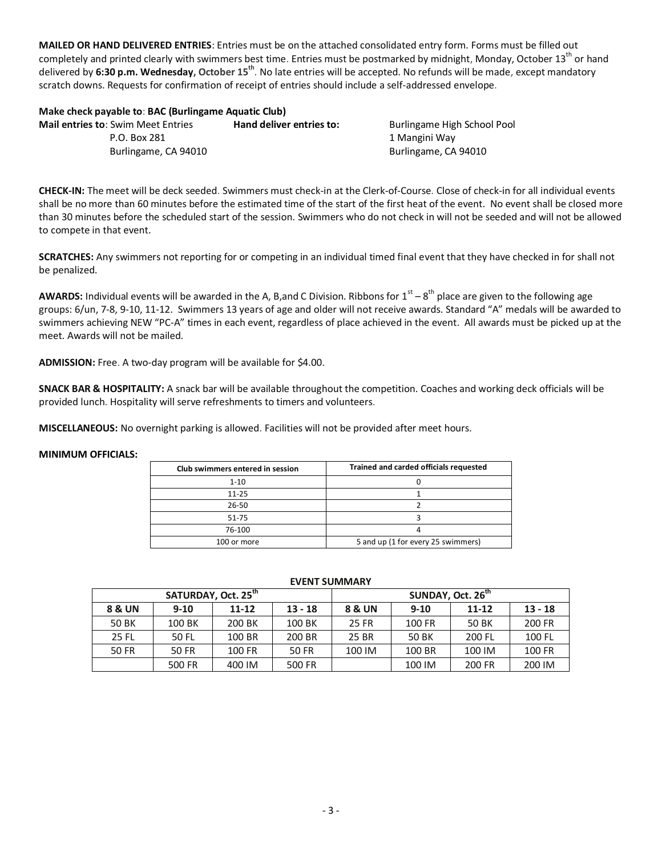**MAILED OR HAND DELIVERED ENTRIES**: Entries must be on the attached consolidated entry form. Forms must be filled out completely and printed clearly with swimmers best time. Entries must be postmarked by midnight, Monday, October 13<sup>th</sup> or hand delivered by **6:30 p.m. Wednesday, October 15th** . No late entries will be accepted. No refunds will be made, except mandatory scratch downs. Requests for confirmation of receipt of entries should include a self-addressed envelope.

**Make check payable to**: **BAC (Burlingame Aquatic Club) Mail entries to: Swim Meet Entries hand deliver entries to: Burlingame High School Pool** P.O. Box 281 2012 1 Mangini Way Burlingame, CA 94010 **Burlingame, CA 94010** 

**CHECK-IN:** The meet will be deck seeded. Swimmers must check-in at the Clerk-of-Course. Close of check-in for all individual events shall be no more than 60 minutes before the estimated time of the start of the first heat of the event. No event shall be closed more than 30 minutes before the scheduled start of the session. Swimmers who do not check in will not be seeded and will not be allowed to compete in that event.

**SCRATCHES:** Any swimmers not reporting for or competing in an individual timed final event that they have checked in for shall not be penalized.

**AWARDS:** Individual events will be awarded in the A, B,and C Division. Ribbons for  $1^{\text{st}} - 8^{\text{th}}$  place are given to the following age groups: 6/un, 7-8, 9-10, 11-12. Swimmers 13 years of age and older will not receive awards. Standard "A" medals will be awarded to swimmers achieving NEW "PC-A" times in each event, regardless of place achieved in the event. All awards must be picked up at the meet. Awards will not be mailed.

**ADMISSION:** Free. A two-day program will be available for \$4.00.

**SNACK BAR & HOSPITALITY:** A snack bar will be available throughout the competition. Coaches and working deck officials will be provided lunch. Hospitality will serve refreshments to timers and volunteers.

**MISCELLANEOUS:** No overnight parking is allowed. Facilities will not be provided after meet hours.

## **MINIMUM OFFICIALS:**

| Club swimmers entered in session | Trained and carded officials requested |  |  |  |  |  |  |
|----------------------------------|----------------------------------------|--|--|--|--|--|--|
| $1 - 10$                         |                                        |  |  |  |  |  |  |
| $11 - 25$                        |                                        |  |  |  |  |  |  |
| 26-50                            |                                        |  |  |  |  |  |  |
| 51-75                            |                                        |  |  |  |  |  |  |
| 76-100                           |                                        |  |  |  |  |  |  |
| 100 or more                      | 5 and up (1 for every 25 swimmers)     |  |  |  |  |  |  |

## **EVENT SUMMARY**

|        | SATURDAY, Oct. 25 <sup>th</sup> |                        |        | SUNDAY, Oct. 26 <sup>th</sup> |          |           |           |  |  |  |
|--------|---------------------------------|------------------------|--------|-------------------------------|----------|-----------|-----------|--|--|--|
| 8 & UN | $9-10$                          | $13 - 18$<br>$11 - 12$ |        | 8 & UN                        | $9 - 10$ | $11 - 12$ | $13 - 18$ |  |  |  |
| 50 BK  | 100 BK                          | 200 BK                 | 100 BK | 25 FR                         | 100 FR   | 50 BK     | 200 FR    |  |  |  |
| 25 FL  | 50 FL                           | 100 BR                 | 200 BR | 25 BR                         | 50 BK    | 200 FL    | 100 FL    |  |  |  |
| 50 FR  | 50 FR                           | 100 FR                 | 50 FR  | 100 IM                        | 100 BR   | 100 IM    | 100 FR    |  |  |  |
|        | 500 FR                          | 400 IM                 | 500 FR |                               | 100 IM   | 200 FR    | 200 IM    |  |  |  |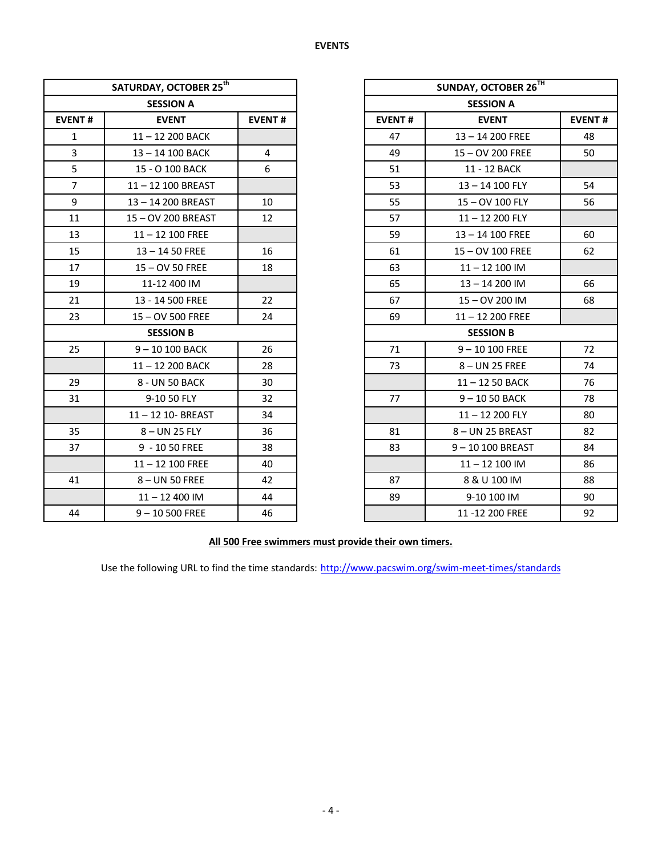|                | SATURDAY, OCTOBER 25 <sup>th</sup> |                |               | <b>SUNDAY, OCTOBER 2</b> |
|----------------|------------------------------------|----------------|---------------|--------------------------|
|                | <b>SESSION A</b>                   |                |               | <b>SESSION A</b>         |
| <b>EVENT#</b>  | <b>EVENT</b>                       | <b>EVENT#</b>  | <b>EVENT#</b> | <b>EVENT</b>             |
| $\mathbf{1}$   | 11-12 200 BACK                     |                | 47            | 13-14 200 FREE           |
| $\overline{3}$ | 13-14 100 BACK                     | $\overline{4}$ | 49            | 15-OV 200 FREE           |
| 5              | 15 - O 100 BACK                    | 6              | 51            | 11 - 12 BACK             |
| $\overline{7}$ | 11-12 100 BREAST                   |                | 53            | 13-14 100 FLY            |
| 9              | 13-14 200 BREAST                   | 10             | 55            | 15-OV 100 FLY            |
| 11             | 15-OV 200 BREAST                   | 12             | 57            | 11-12 200 FLY            |
| 13             | $11 - 12100$ FREE                  |                | 59            | 13-14 100 FREE           |
| 15             | $13 - 1450$ FREE                   | 16             | 61            | 15-OV 100 FREE           |
| 17             | 15-OV 50 FREE                      | 18             | 63            | $11 - 12100$ IM          |
| 19             | 11-12 400 IM                       |                | 65            | 13-14 200 IM             |
| 21             | 13 - 14 500 FREE                   | 22             | 67            | 15-OV 200 IM             |
| 23             | 15 - OV 500 FREE                   | 24             | 69            | $11 - 12200$ FREE        |
|                | <b>SESSION B</b>                   |                |               | <b>SESSION B</b>         |
| 25             | 9-10 100 BACK                      | 26             | 71            | $9 - 10100$ FREE         |
|                | 11-12 200 BACK                     | 28             | 73            | 8-UN 25 FREE             |
| 29             | 8 - UN 50 BACK                     | 30             |               | 11-12 50 BACK            |
| 31             | 9-10 50 FLY                        | 32             | 77            | $9 - 1050$ BACK          |
|                | 11-12 10- BREAST                   | 34             |               | 11-12 200 FLY            |
| 35             | 8-UN 25 FLY                        | 36             | 81            | 8-UN 25 BREAST           |
| 37             | 9 - 10 50 FREE                     | 38             | 83            | 9-10 100 BREAS           |
|                | $11 - 12$ 100 FREE                 | 40             |               | $11 - 12100$ IM          |
| 41             | 8-UN 50 FREE                       | 42             | 87            | 8 & U 100 IM             |
|                | $11 - 12400$ IM                    | 44             | 89            | 9-10 100 IM              |
| 44             | $9 - 10500$ FREE                   | 46             |               | 11 - 12 200 FREE         |

|                | SATURDAY, OCTOBER 25 <sup>th</sup> |                                                | SUNDAY, OCTOBER 26TH |  |                   |    |
|----------------|------------------------------------|------------------------------------------------|----------------------|--|-------------------|----|
|                | <b>SESSION A</b>                   |                                                |                      |  | <b>SESSION A</b>  |    |
| <b>EVENT#</b>  | <b>EVENT</b>                       | <b>EVENT#</b><br><b>EVENT#</b><br><b>EVENT</b> |                      |  | <b>EVENT#</b>     |    |
| $\mathbf{1}$   | 11-12 200 BACK                     |                                                | 47                   |  | 13-14 200 FREE    | 48 |
| $\overline{3}$ | 13-14 100 BACK                     | $\overline{4}$                                 | 49                   |  | 15-OV 200 FREE    | 50 |
| $5\phantom{.}$ | 15 - O 100 BACK                    | 6                                              | 51                   |  | 11 - 12 BACK      |    |
| $\overline{7}$ | 11-12 100 BREAST                   |                                                | 53                   |  | 13-14 100 FLY     | 54 |
| 9              | 13-14 200 BREAST                   | 10                                             | 55                   |  | 15-OV 100 FLY     | 56 |
| 11             | 15-OV 200 BREAST                   | 12                                             | 57                   |  | 11-12 200 FLY     |    |
| 13             | $11 - 12100$ FREE                  |                                                | 59                   |  | 13-14 100 FREE    | 60 |
| 15             | $13 - 1450$ FREE                   | 16                                             | 61                   |  | 15 - OV 100 FREE  | 62 |
| 17             | 15 - OV 50 FREE                    | 18                                             | 63                   |  | $11 - 12100$ IM   |    |
| 19             | 11-12 400 IM                       |                                                | 65                   |  | 13-14 200 IM      | 66 |
| 21             | 13 - 14 500 FREE                   | 22                                             | 67                   |  | 15-OV 200 IM      | 68 |
| 23             | 15 - OV 500 FREE                   | 24                                             | 69                   |  | $11 - 12200$ FREE |    |
|                | <b>SESSION B</b>                   |                                                |                      |  | <b>SESSION B</b>  |    |
| 25             | 9-10 100 BACK                      | 26                                             | 71                   |  | $9 - 10100$ FREE  | 72 |
|                | 11-12 200 BACK                     | 28                                             | 73                   |  | 8-UN 25 FREE      | 74 |
| 29             | 8 - UN 50 BACK                     | 30                                             |                      |  | 11-12 50 BACK     | 76 |
| 31             | 9-10 50 FLY                        | 32                                             | 77                   |  | $9 - 1050$ BACK   | 78 |
|                | 11-12 10- BREAST                   | 34                                             |                      |  | $11 - 12200$ FLY  | 80 |
| 35             | 8-UN 25 FLY                        | 36                                             | 81                   |  | 8-UN 25 BREAST    | 82 |
| 37             | 9 - 10 50 FREE                     | 38                                             | 83                   |  | 9-10 100 BREAST   | 84 |
|                | $11 - 12$ 100 FREE                 | 40                                             |                      |  | $11 - 12100$ IM   | 86 |
| 41             | 8-UN 50 FREE                       | 42                                             | 87                   |  | 8 & U 100 IM      | 88 |
|                | $11 - 12400$ IM                    | 44                                             | 89                   |  | 9-10 100 IM       | 90 |
| 44             | $9 - 10500$ FREE                   | 46                                             |                      |  | 11 - 12 200 FREE  | 92 |

## **All 500 Free swimmers must provide their own timers.**

Use the following URL to find the time standards: <http://www.pacswim.org/swim-meet-times/standards>